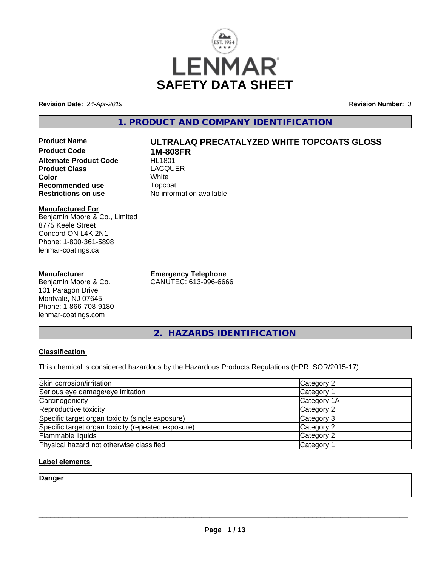

**Revision Date:** *24-Apr-2019* **Revision Number:** *3*

# **1. PRODUCT AND COMPANY IDENTIFICATION**

**Product Name ULTRALAQ PRECATALYZED WHITE TOPCOATS GLOSS Product Code 1M-808FR Alternate Product Code Product Class** LACQUER<br> **Color** White **Color** White White **Recommended use Topcoat Restrictions on use Theory Network** 

#### **Manufactured For** Benjamin Moore & Co., Limited 8775 Keele Street Concord ON L4K 2N1 Phone: 1-800-361-5898 lenmar-coatings.ca

#### **Manufacturer**

Benjamin Moore & Co. 101 Paragon Drive Montvale, NJ 07645 Phone: 1-866-708-9180 lenmar-coatings.com

**Emergency Telephone** CANUTEC: 613-996-6666

**No information available** 

**2. HAZARDS IDENTIFICATION**

#### **Classification**

This chemical is considered hazardous by the Hazardous Products Regulations (HPR: SOR/2015-17)

| Skin corrosion/irritation                          | Category 2  |
|----------------------------------------------------|-------------|
| Serious eye damage/eye irritation                  | Category 1  |
| Carcinogenicity                                    | Category 1A |
| Reproductive toxicity                              | Category 2  |
| Specific target organ toxicity (single exposure)   | Category 3  |
| Specific target organ toxicity (repeated exposure) | Category 2  |
| Flammable liquids                                  | Category 2  |
| Physical hazard not otherwise classified           | Category 1  |

#### **Label elements**

**Danger**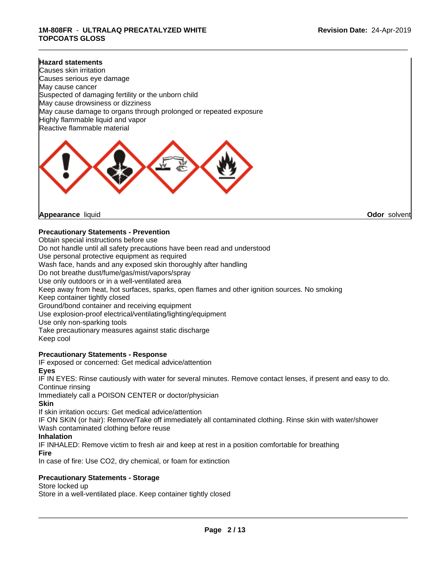#### **Hazard statements**

Causes skin irritation Causes serious eye damage May cause cancer Suspected of damaging fertility or the unborn child May cause drowsiness or dizziness May cause damage to organs through prolonged or repeated exposure Highly flammable liquid and vapor Reactive flammable material



**Appearance** liquid **Odor** solvent

#### **Precautionary Statements - Prevention**

Obtain special instructions before use Do not handle until all safety precautions have been read and understood Use personal protective equipment as required Wash face, hands and any exposed skin thoroughly after handling Do not breathe dust/fume/gas/mist/vapors/spray Use only outdoors or in a well-ventilated area Keep away from heat, hot surfaces, sparks, open flames and other ignition sources. No smoking Keep container tightly closed Ground/bond container and receiving equipment Use explosion-proof electrical/ventilating/lighting/equipment Use only non-sparking tools Take precautionary measures against static discharge Keep cool

#### **Precautionary Statements - Response**

IF exposed or concerned: Get medical advice/attention **Eyes**

IF IN EYES: Rinse cautiously with water for several minutes. Remove contact lenses, if present and easy to do. Continue rinsing

Immediately call a POISON CENTER or doctor/physician

**Skin**

If skin irritation occurs: Get medical advice/attention

IF ON SKIN (or hair): Remove/Take off immediately all contaminated clothing. Rinse skin with water/shower Wash contaminated clothing before reuse

#### **Inhalation**

IF INHALED: Remove victim to fresh air and keep at rest in a position comfortable for breathing

**Fire**

In case of fire: Use CO2, dry chemical, or foam for extinction

#### **Precautionary Statements - Storage**

Store locked up

Store in a well-ventilated place. Keep container tightly closed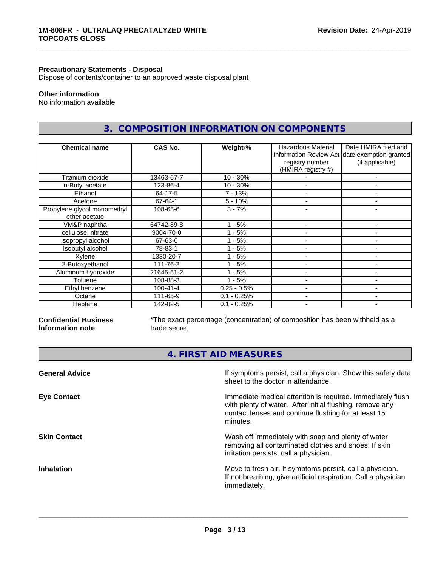#### **Precautionary Statements - Disposal**

Dispose of contents/container to an approved waste disposal plant

# **Other information**

No information available

# **3. COMPOSITION INFORMATION ON COMPONENTS**

\_\_\_\_\_\_\_\_\_\_\_\_\_\_\_\_\_\_\_\_\_\_\_\_\_\_\_\_\_\_\_\_\_\_\_\_\_\_\_\_\_\_\_\_\_\_\_\_\_\_\_\_\_\_\_\_\_\_\_\_\_\_\_\_\_\_\_\_\_\_\_\_\_\_\_\_\_\_\_\_\_\_\_\_\_\_\_\_\_\_\_\_\_

| <b>Chemical name</b>                         | CAS No.        | Weight-%      | Hazardous Material<br>registry number<br>(HMIRA registry #) | Date HMIRA filed and<br>Information Review Act date exemption granted<br>(if applicable) |
|----------------------------------------------|----------------|---------------|-------------------------------------------------------------|------------------------------------------------------------------------------------------|
| Titanium dioxide                             | 13463-67-7     | $10 - 30%$    |                                                             |                                                                                          |
| n-Butyl acetate                              | 123-86-4       | $10 - 30%$    |                                                             |                                                                                          |
| Ethanol                                      | 64-17-5        | 7 - 13%       |                                                             |                                                                                          |
| Acetone                                      | 67-64-1        | $5 - 10%$     |                                                             | ۰                                                                                        |
| Propylene glycol monomethyl<br>ether acetate | 108-65-6       | $3 - 7%$      |                                                             |                                                                                          |
| VM&P naphtha                                 | 64742-89-8     | $1 - 5%$      |                                                             |                                                                                          |
| cellulose, nitrate                           | 9004-70-0      | $1 - 5%$      |                                                             | ۰                                                                                        |
| Isopropyl alcohol                            | 67-63-0        | - 5%          |                                                             |                                                                                          |
| Isobutyl alcohol                             | 78-83-1        | - 5%          |                                                             |                                                                                          |
| Xylene                                       | 1330-20-7      | - 5%          |                                                             | ۰                                                                                        |
| 2-Butoxyethanol                              | 111-76-2       | - 5%          | $\overline{\phantom{a}}$                                    | ٠                                                                                        |
| Aluminum hydroxide                           | 21645-51-2     | - 5%          |                                                             | -                                                                                        |
| Toluene                                      | 108-88-3       | $1 - 5%$      |                                                             | -                                                                                        |
| Ethyl benzene                                | $100 - 41 - 4$ | $0.25 - 0.5%$ |                                                             | $\blacksquare$                                                                           |
| Octane                                       | 111-65-9       | $0.1 - 0.25%$ | $\overline{\phantom{0}}$                                    | ۰                                                                                        |
| Heptane                                      | 142-82-5       | $0.1 - 0.25%$ | $\overline{\phantom{a}}$                                    | ٠                                                                                        |

#### **Confidential Business Information note**

\*The exact percentage (concentration) of composition has been withheld as a trade secret

**4. FIRST AID MEASURES**

| If symptoms persist, call a physician. Show this safety data<br>sheet to the doctor in attendance.                                                                                         |
|--------------------------------------------------------------------------------------------------------------------------------------------------------------------------------------------|
| Immediate medical attention is required. Immediately flush<br>with plenty of water. After initial flushing, remove any<br>contact lenses and continue flushing for at least 15<br>minutes. |
| Wash off immediately with soap and plenty of water<br>removing all contaminated clothes and shoes. If skin<br>irritation persists, call a physician.                                       |
| Move to fresh air. If symptoms persist, call a physician.<br>If not breathing, give artificial respiration. Call a physician<br>immediately.                                               |
|                                                                                                                                                                                            |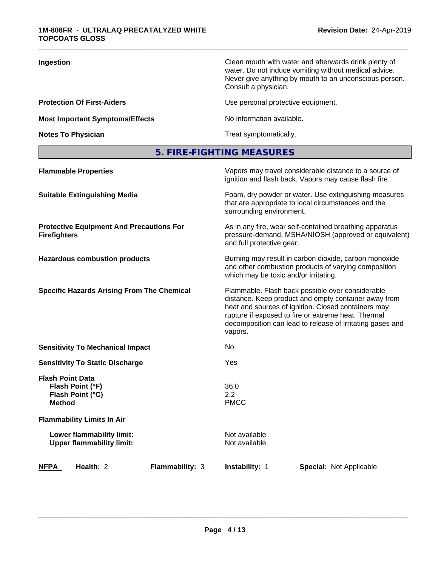| Ingestion                              | Clean mouth with water and afterwards drink plenty of<br>water. Do not induce vomiting without medical advice.<br>Never give anything by mouth to an unconscious person.<br>Consult a physician. |
|----------------------------------------|--------------------------------------------------------------------------------------------------------------------------------------------------------------------------------------------------|
| <b>Protection Of First-Aiders</b>      | Use personal protective equipment.                                                                                                                                                               |
| <b>Most Important Symptoms/Effects</b> | No information available.                                                                                                                                                                        |
| <b>Notes To Physician</b>              | Treat symptomatically.                                                                                                                                                                           |

# **5. FIRE-FIGHTING MEASURES**

| <b>Flammable Properties</b>                                                      | Vapors may travel considerable distance to a source of<br>ignition and flash back. Vapors may cause flash fire.                                                                                                                                                                                |
|----------------------------------------------------------------------------------|------------------------------------------------------------------------------------------------------------------------------------------------------------------------------------------------------------------------------------------------------------------------------------------------|
| <b>Suitable Extinguishing Media</b>                                              | Foam, dry powder or water. Use extinguishing measures<br>that are appropriate to local circumstances and the<br>surrounding environment.                                                                                                                                                       |
| <b>Protective Equipment And Precautions For</b><br><b>Firefighters</b>           | As in any fire, wear self-contained breathing apparatus<br>pressure-demand, MSHA/NIOSH (approved or equivalent)<br>and full protective gear.                                                                                                                                                   |
| <b>Hazardous combustion products</b>                                             | Burning may result in carbon dioxide, carbon monoxide<br>and other combustion products of varying composition<br>which may be toxic and/or irritating.                                                                                                                                         |
| <b>Specific Hazards Arising From The Chemical</b>                                | Flammable. Flash back possible over considerable<br>distance. Keep product and empty container away from<br>heat and sources of ignition. Closed containers may<br>rupture if exposed to fire or extreme heat. Thermal<br>decomposition can lead to release of irritating gases and<br>vapors. |
| <b>Sensitivity To Mechanical Impact</b>                                          | No.                                                                                                                                                                                                                                                                                            |
| <b>Sensitivity To Static Discharge</b>                                           | Yes                                                                                                                                                                                                                                                                                            |
| <b>Flash Point Data</b><br>Flash Point (°F)<br>Flash Point (°C)<br><b>Method</b> | 36.0<br>2.2<br><b>PMCC</b>                                                                                                                                                                                                                                                                     |
| <b>Flammability Limits In Air</b>                                                |                                                                                                                                                                                                                                                                                                |
| Lower flammability limit:<br><b>Upper flammability limit:</b>                    | Not available<br>Not available                                                                                                                                                                                                                                                                 |
| Health: 2<br><b>NFPA</b><br>Flammability: 3                                      | <b>Instability: 1</b><br><b>Special: Not Applicable</b>                                                                                                                                                                                                                                        |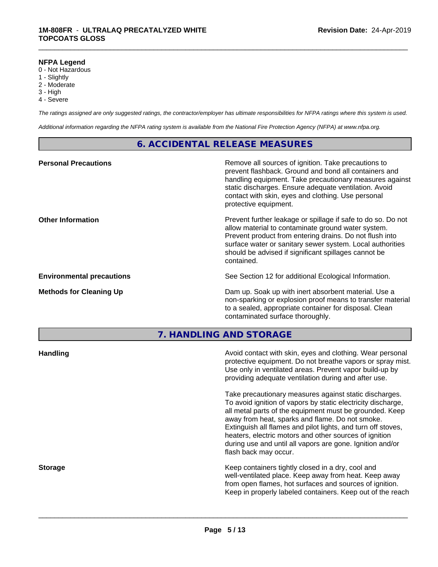#### **NFPA Legend**

- 0 Not Hazardous
- 1 Slightly
- 2 Moderate
- 3 High
- 4 Severe

*The ratings assigned are only suggested ratings, the contractor/employer has ultimate responsibilities for NFPA ratings where this system is used.*

\_\_\_\_\_\_\_\_\_\_\_\_\_\_\_\_\_\_\_\_\_\_\_\_\_\_\_\_\_\_\_\_\_\_\_\_\_\_\_\_\_\_\_\_\_\_\_\_\_\_\_\_\_\_\_\_\_\_\_\_\_\_\_\_\_\_\_\_\_\_\_\_\_\_\_\_\_\_\_\_\_\_\_\_\_\_\_\_\_\_\_\_\_

*Additional information regarding the NFPA rating system is available from the National Fire Protection Agency (NFPA) at www.nfpa.org.*

# **6. ACCIDENTAL RELEASE MEASURES**

| <b>Personal Precautions</b>      | Remove all sources of ignition. Take precautions to<br>prevent flashback. Ground and bond all containers and<br>handling equipment. Take precautionary measures against<br>static discharges. Ensure adequate ventilation. Avoid<br>contact with skin, eyes and clothing. Use personal<br>protective equipment.  |
|----------------------------------|------------------------------------------------------------------------------------------------------------------------------------------------------------------------------------------------------------------------------------------------------------------------------------------------------------------|
| <b>Other Information</b>         | Prevent further leakage or spillage if safe to do so. Do not<br>allow material to contaminate ground water system.<br>Prevent product from entering drains. Do not flush into<br>surface water or sanitary sewer system. Local authorities<br>should be advised if significant spillages cannot be<br>contained. |
| <b>Environmental precautions</b> | See Section 12 for additional Ecological Information.                                                                                                                                                                                                                                                            |
| <b>Methods for Cleaning Up</b>   | Dam up. Soak up with inert absorbent material. Use a<br>non-sparking or explosion proof means to transfer material<br>to a sealed, appropriate container for disposal. Clean<br>contaminated surface thoroughly.                                                                                                 |

**7. HANDLING AND STORAGE**

| <b>Handling</b> | Avoid contact with skin, eyes and clothing. Wear personal<br>protective equipment. Do not breathe vapors or spray mist.<br>Use only in ventilated areas. Prevent vapor build-up by                                                                                                                                                                                                                                                                   |
|-----------------|------------------------------------------------------------------------------------------------------------------------------------------------------------------------------------------------------------------------------------------------------------------------------------------------------------------------------------------------------------------------------------------------------------------------------------------------------|
|                 | providing adequate ventilation during and after use.                                                                                                                                                                                                                                                                                                                                                                                                 |
|                 | Take precautionary measures against static discharges.<br>To avoid ignition of vapors by static electricity discharge,<br>all metal parts of the equipment must be grounded. Keep<br>away from heat, sparks and flame. Do not smoke.<br>Extinguish all flames and pilot lights, and turn off stoves,<br>heaters, electric motors and other sources of ignition<br>during use and until all vapors are gone. Ignition and/or<br>flash back may occur. |
| <b>Storage</b>  | Keep containers tightly closed in a dry, cool and<br>well-ventilated place. Keep away from heat. Keep away<br>from open flames, hot surfaces and sources of ignition.<br>Keep in properly labeled containers. Keep out of the reach                                                                                                                                                                                                                  |
|                 |                                                                                                                                                                                                                                                                                                                                                                                                                                                      |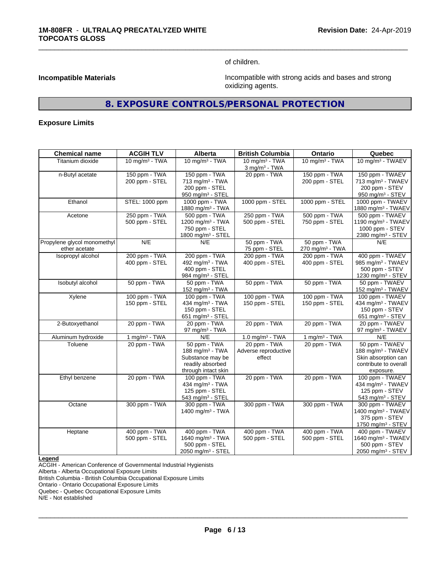of children.

\_\_\_\_\_\_\_\_\_\_\_\_\_\_\_\_\_\_\_\_\_\_\_\_\_\_\_\_\_\_\_\_\_\_\_\_\_\_\_\_\_\_\_\_\_\_\_\_\_\_\_\_\_\_\_\_\_\_\_\_\_\_\_\_\_\_\_\_\_\_\_\_\_\_\_\_\_\_\_\_\_\_\_\_\_\_\_\_\_\_\_\_\_

**Incompatible Materials Incompatible Materials Incompatible with strong acids and bases and strong** oxidizing agents.

# **8. EXPOSURE CONTROLS/PERSONAL PROTECTION**

#### **Exposure Limits**

| <b>Chemical name</b>                         | <b>ACGIH TLV</b>                | Alberta                                                                                                    | <b>British Columbia</b>                        | <b>Ontario</b>                              | Quebec                                                                                                       |
|----------------------------------------------|---------------------------------|------------------------------------------------------------------------------------------------------------|------------------------------------------------|---------------------------------------------|--------------------------------------------------------------------------------------------------------------|
| Titanium dioxide                             | 10 mg/m $3$ - TWA               | 10 mg/m $3$ - TWA                                                                                          | 10 mg/m $3$ - TWA<br>$3$ mg/m $3$ - TWA        | 10 mg/m $3 - TWA$                           | 10 mg/m <sup>3</sup> - TWAEV                                                                                 |
| n-Butyl acetate                              | 150 ppm - TWA<br>200 ppm - STEL | 150 ppm - TWA<br>713 mg/m <sup>3</sup> - TWA<br>200 ppm - STEL<br>950 mg/m <sup>3</sup> - STEL             | 20 ppm - TWA                                   | 150 ppm - TWA<br>200 ppm - STEL             | 150 ppm - TWAEV<br>713 mg/m <sup>3</sup> - TWAEV<br>200 ppm - STEV<br>950 mg/m <sup>3</sup> - STEV           |
| Ethanol                                      | <b>STEL: 1000 ppm</b>           | 1000 ppm - TWA<br>1880 mg/m <sup>3</sup> - TWA                                                             | 1000 ppm - STEL                                | 1000 ppm - STEL                             | 1000 ppm - TWAEV<br>1880 mg/m <sup>3</sup> - TWAEV                                                           |
| Acetone                                      | 250 ppm - TWA<br>500 ppm - STEL | 500 ppm - TWA<br>1200 mg/m <sup>3</sup> - TWA<br>750 ppm - STEL<br>1800 mg/m <sup>3</sup> - STEL           | 250 ppm - TWA<br>500 ppm - STEL                | 500 ppm - TWA<br>750 ppm - STEL             | 500 ppm - TWAEV<br>1190 mg/m <sup>3</sup> - TWAEV<br>1000 ppm - STEV<br>2380 mg/m <sup>3</sup> - STEV        |
| Propylene glycol monomethyl<br>ether acetate | N/E                             | N/E                                                                                                        | 50 ppm - TWA<br>75 ppm - STEL                  | 50 ppm - TWA<br>270 mg/m <sup>3</sup> - TWA | N/E                                                                                                          |
| Isopropyl alcohol                            | 200 ppm - TWA<br>400 ppm - STEL | 200 ppm - TWA<br>492 mg/m <sup>3</sup> - TWA<br>400 ppm - STEL<br>984 mg/m <sup>3</sup> - STEL             | 200 ppm - TWA<br>400 ppm - STEL                | 200 ppm - TWA<br>400 ppm - STEL             | 400 ppm - TWAEV<br>985 mg/m <sup>3</sup> - TWAEV<br>500 ppm - STEV<br>1230 mg/m <sup>3</sup> - STEV          |
| Isobutyl alcohol                             | 50 ppm - TWA                    | 50 ppm - TWA<br>152 mg/m <sup>3</sup> - TWA                                                                | 50 ppm - TWA                                   | 50 ppm - TWA                                | 50 ppm - TWAEV<br>152 mg/m <sup>3</sup> - TWAEV                                                              |
| Xylene                                       | 100 ppm - TWA<br>150 ppm - STEL | 100 ppm - TWA<br>434 mg/m <sup>3</sup> - TWA<br>150 ppm - STEL<br>651 mg/m <sup>3</sup> - STEL             | 100 ppm - TWA<br>150 ppm - STEL                | 100 ppm - TWA<br>150 ppm - STEL             | 100 ppm - TWAEV<br>434 mg/m <sup>3</sup> - TWAEV<br>150 ppm - STEV<br>651 mg/m <sup>3</sup> - STEV           |
| 2-Butoxyethanol                              | 20 ppm - TWA                    | 20 ppm - TWA<br>97 mg/m $3$ - TWA                                                                          | 20 ppm - TWA                                   | 20 ppm - TWA                                | 20 ppm - TWAEV<br>97 mg/m <sup>3</sup> - TWAEV                                                               |
| Aluminum hydroxide                           | 1 mg/m $3 - TWA$                | N/E                                                                                                        | $1.0$ mg/m <sup>3</sup> - TWA                  | 1 mg/m $3$ - TWA                            | N/E                                                                                                          |
| Toluene                                      | 20 ppm - TWA                    | 50 ppm - TWA<br>188 mg/m <sup>3</sup> - TWA<br>Substance may be<br>readily absorbed<br>through intact skin | 20 ppm - TWA<br>Adverse reproductive<br>effect | 20 ppm - TWA                                | 50 ppm - TWAEV<br>188 mg/m <sup>3</sup> - TWAEV<br>Skin absorption can<br>contribute to overall<br>exposure. |
| Ethyl benzene                                | 20 ppm - TWA                    | 100 ppm - TWA<br>434 mg/m <sup>3</sup> - TWA<br>125 ppm - STEL<br>543 mg/m <sup>3</sup> - STEL             | 20 ppm - TWA                                   | 20 ppm - TWA                                | 100 ppm - TWAEV<br>434 mg/m <sup>3</sup> - TWAEV<br>125 ppm - STEV<br>543 mg/m <sup>3</sup> - STEV           |
| Octane                                       | 300 ppm - TWA                   | 300 ppm - TWA<br>1400 mg/m $3 - TWA$                                                                       | 300 ppm - TWA                                  | 300 ppm - TWA                               | 300 ppm - TWAEV<br>1400 mg/m <sup>3</sup> - TWAEV<br>375 ppm - STEV<br>1750 mg/m <sup>3</sup> - STEV         |
| Heptane                                      | 400 ppm - TWA<br>500 ppm - STEL | 400 ppm - TWA<br>1640 mg/m <sup>3</sup> - TWA<br>500 ppm - STEL<br>2050 mg/m <sup>3</sup> - STEL           | 400 ppm - TWA<br>500 ppm - STEL                | 400 ppm - TWA<br>500 ppm - STEL             | 400 ppm - TWAEV<br>1640 mg/m <sup>3</sup> - TWAEV<br>500 ppm - STEV<br>2050 mg/m <sup>3</sup> - STEV         |

**Legend**

ACGIH - American Conference of Governmental Industrial Hygienists

Alberta - Alberta Occupational Exposure Limits

British Columbia - British Columbia Occupational Exposure Limits

Ontario - Ontario Occupational Exposure Limits

Quebec - Quebec Occupational Exposure Limits

N/E - Not established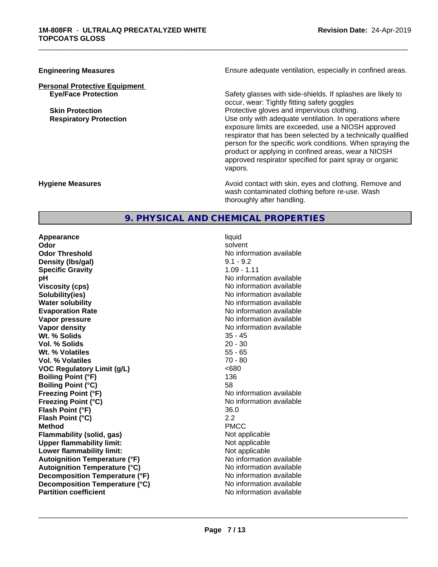# **Personal Protective Equipment**

**Engineering Measures Ensure adequate ventilation, especially in confined areas.** 

\_\_\_\_\_\_\_\_\_\_\_\_\_\_\_\_\_\_\_\_\_\_\_\_\_\_\_\_\_\_\_\_\_\_\_\_\_\_\_\_\_\_\_\_\_\_\_\_\_\_\_\_\_\_\_\_\_\_\_\_\_\_\_\_\_\_\_\_\_\_\_\_\_\_\_\_\_\_\_\_\_\_\_\_\_\_\_\_\_\_\_\_\_

**Eye/Face Protection** Safety glasses with side-shields. If splashes are likely to occur, wear: Tightly fitting safety goggles **Skin Protection Protection** Protective gloves and impervious clothing. **Respiratory Protection Number 1** (Use only with adequate ventilation. In operations where exposure limits are exceeded, use a NIOSH approved respirator that has been selected by a technically qualified person for the specific work conditions. When spraying the product or applying in confined areas, wear a NIOSH approved respirator specified for paint spray or organic vapors.

**Hygiene Measures Avoid contact with skin, eyes and clothing. Remove and Avoid contact with skin, eyes and clothing. Remove and Avoid contact with skin, eyes and clothing. Remove and** wash contaminated clothing before re-use. Wash thoroughly after handling.

# **9. PHYSICAL AND CHEMICAL PROPERTIES**

**Appearance** liquid **Odor** solvent **Odor Threshold No information available No information available Density (lbs/gal)** 9.1 - 9.2 **Specific Gravity** 1.09 - 1.11 **pH** No information available **Viscosity (cps)** No information available Notice 1, 1999 **Solubility(ies)** No information available in the solution of the solution of the solution available in the solution of the solution of the solution of the solution of the solution of the solution of the solution of the so **Water solubility**<br> **Evaporation Rate**<br> **Evaporation Rate**<br> **Evaporation Rate Vapor pressure** No information available **No information** available **Vapor density**<br> **We Solids**<br>
We Solid Wi, % Solids
25 - 45 **Wt. % Solids** 35 - 45 **Vol. % Solids Wt. % Volatiles** 55 - 65<br> **Vol. % Volatiles** 50 **Vol. % Volatiles VOC** Requlatory Limit (q/L)  $\leq 680$ **Boiling Point (°F)** 136 **Boiling Point (°C)** 58 **Freezing Point (°F)** No information available **Freezing Point (°C)** No information available **Flash Point (°F)** 36.0 **Flash Point (°C)** 2.2 **Method** PMCC **Flammability (solid, gas)** Not applicable **Upper flammability limit:** Not applicable **Lower flammability limit:** Not applicable **Autoignition Temperature (°F)** No information available **Autoignition Temperature (°C)** No information available **Decomposition Temperature (°F)** No information available **Decomposition Temperature (°C)** No information available<br> **Partition coefficient Partition available** 

**Evaporation Rate** No information available **No information available**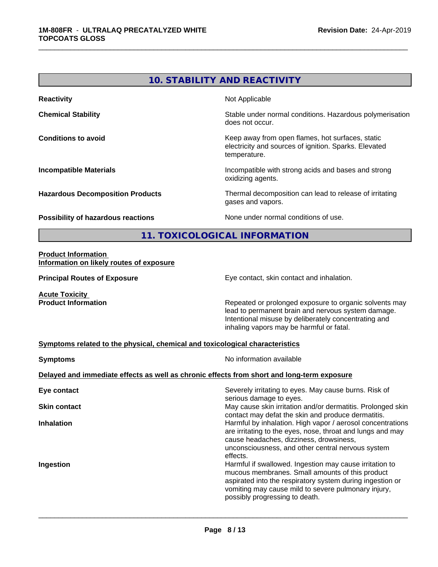# **10. STABILITY AND REACTIVITY Reactivity** Not Applicable **Chemical Stability Chemical Stability** Stable under normal conditions. Hazardous polymerisation does not occur. **Conditions to avoid EXECUTE:** The Metal Metal Metal Metal Metal Metal Metal Metal Metal Metal Metal Metal Metal Metal Metal Metal Metal Metal Metal Metal Metal Metal Metal Metal Metal Metal Metal Metal Metal Metal Metal electricity and sources of ignition. Sparks. Elevated temperature. **Incompatible Materials Incompatible with strong acids and bases and strong** oxidizing agents. **Hazardous Decomposition Products** Thermal decomposition can lead to release of irritating gases and vapors. **Possibility of hazardous reactions** None under normal conditions of use. **11. TOXICOLOGICAL INFORMATION**

\_\_\_\_\_\_\_\_\_\_\_\_\_\_\_\_\_\_\_\_\_\_\_\_\_\_\_\_\_\_\_\_\_\_\_\_\_\_\_\_\_\_\_\_\_\_\_\_\_\_\_\_\_\_\_\_\_\_\_\_\_\_\_\_\_\_\_\_\_\_\_\_\_\_\_\_\_\_\_\_\_\_\_\_\_\_\_\_\_\_\_\_\_

#### **Product Information Information on likely routes of exposure**

**Principal Routes of Exposure Exposure** Eye contact, skin contact and inhalation.

**Acute Toxicity** 

**Product Information Repeated or prolonged exposure to organic solvents may** Repeated or prolonged exposure to organic solvents may lead to permanent brain and nervous system damage. Intentional misuse by deliberately concentrating and inhaling vapors may be harmful or fatal.

#### **Symptoms related to the physical,chemical and toxicological characteristics**

| <b>Symptoms</b>                                                                            | No information available                                                                                                                                                                                                                                         |  |  |  |
|--------------------------------------------------------------------------------------------|------------------------------------------------------------------------------------------------------------------------------------------------------------------------------------------------------------------------------------------------------------------|--|--|--|
| Delayed and immediate effects as well as chronic effects from short and long-term exposure |                                                                                                                                                                                                                                                                  |  |  |  |
| Eye contact                                                                                | Severely irritating to eyes. May cause burns. Risk of<br>serious damage to eyes.                                                                                                                                                                                 |  |  |  |
| <b>Skin contact</b>                                                                        | May cause skin irritation and/or dermatitis. Prolonged skin<br>contact may defat the skin and produce dermatitis.                                                                                                                                                |  |  |  |
| <b>Inhalation</b>                                                                          | Harmful by inhalation. High vapor / aerosol concentrations<br>are irritating to the eyes, nose, throat and lungs and may<br>cause headaches, dizziness, drowsiness,<br>unconsciousness, and other central nervous system<br>effects.                             |  |  |  |
| Ingestion                                                                                  | Harmful if swallowed. Ingestion may cause irritation to<br>mucous membranes. Small amounts of this product<br>aspirated into the respiratory system during ingestion or<br>vomiting may cause mild to severe pulmonary injury,<br>possibly progressing to death. |  |  |  |
|                                                                                            |                                                                                                                                                                                                                                                                  |  |  |  |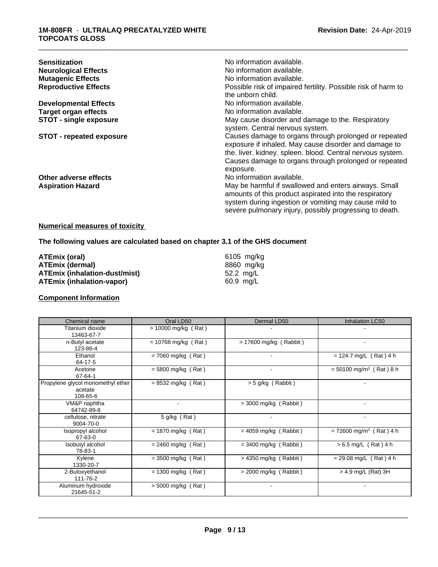| <b>Sensitization</b><br><b>Neurological Effects</b><br><b>Mutagenic Effects</b><br><b>Reproductive Effects</b> | No information available.<br>No information available.<br>No information available.<br>Possible risk of impaired fertility. Possible risk of harm to<br>the unborn child.                                                                          |
|----------------------------------------------------------------------------------------------------------------|----------------------------------------------------------------------------------------------------------------------------------------------------------------------------------------------------------------------------------------------------|
| <b>Developmental Effects</b>                                                                                   | No information available.                                                                                                                                                                                                                          |
| <b>Target organ effects</b>                                                                                    | No information available.                                                                                                                                                                                                                          |
| <b>STOT - single exposure</b>                                                                                  | May cause disorder and damage to the. Respiratory<br>system. Central nervous system.                                                                                                                                                               |
| <b>STOT - repeated exposure</b>                                                                                | Causes damage to organs through prolonged or repeated<br>exposure if inhaled. May cause disorder and damage to<br>the. liver. kidney. spleen. blood. Central nervous system.<br>Causes damage to organs through prolonged or repeated<br>exposure. |
| Other adverse effects                                                                                          | No information available.                                                                                                                                                                                                                          |
| <b>Aspiration Hazard</b>                                                                                       | May be harmful if swallowed and enters airways. Small<br>amounts of this product aspirated into the respiratory<br>system during ingestion or vomiting may cause mild to<br>severe pulmonary injury, possibly progressing to death.                |

#### **Numerical measures of toxicity**

# **The following values are calculated based on chapter 3.1 of the GHS document**

| ATEmix (oral)                        | 6105 mg/ka          |
|--------------------------------------|---------------------|
| <b>ATEmix (dermal)</b>               | 8860 mg/ka          |
| <b>ATEmix (inhalation-dust/mist)</b> | 52.2 ma/L           |
| ATEmix (inhalation-vapor)            | $60.9 \text{ ma/L}$ |

#### **Component Information**

| Chemical name                                            | Oral LD50             | Dermal LD50              | Inhalation LC50                       |
|----------------------------------------------------------|-----------------------|--------------------------|---------------------------------------|
| Titanium dioxide<br>13463-67-7                           | > 10000 mg/kg (Rat)   |                          |                                       |
| n-Butyl acetate<br>123-86-4                              | $= 10768$ mg/kg (Rat) | $> 17600$ mg/kg (Rabbit) | ۰                                     |
| Ethanol<br>64-17-5                                       | $= 7060$ mg/kg (Rat)  | $\overline{\phantom{a}}$ | $= 124.7$ mg/L (Rat) 4 h              |
| Acetone<br>67-64-1                                       | $= 5800$ mg/kg (Rat)  |                          | $= 50100$ mg/m <sup>3</sup> (Rat) 8 h |
| Propylene glycol monomethyl ether<br>acetate<br>108-65-6 | $= 8532$ mg/kg (Rat)  | $>$ 5 g/kg (Rabbit)      |                                       |
| VM&P naphtha<br>64742-89-8                               |                       | $=$ 3000 mg/kg (Rabbit)  |                                       |
| cellulose, nitrate<br>9004-70-0                          | 5 g/kg (Rat)          | $\blacksquare$           | $\blacksquare$                        |
| Isopropyl alcohol<br>67-63-0                             | $= 1870$ mg/kg (Rat)  | $= 4059$ mg/kg (Rabbit)  | $= 72600$ mg/m <sup>3</sup> (Rat) 4 h |
| Isobutyl alcohol<br>78-83-1                              | $= 2460$ mg/kg (Rat)  | $=$ 3400 mg/kg (Rabbit)  | $> 6.5$ mg/L (Rat) 4 h                |
| Xylene<br>1330-20-7                                      | $= 3500$ mg/kg (Rat)  | $>$ 4350 mg/kg (Rabbit)  | $= 29.08$ mg/L (Rat) 4 h              |
| 2-Butoxyethanol<br>111-76-2                              | $= 1300$ mg/kg (Rat)  | $>$ 2000 mg/kg (Rabbit)  | $>$ 4.9 mg/L (Rat) 3H                 |
| Aluminum hydroxide<br>21645-51-2                         | $>$ 5000 mg/kg (Rat)  | $\overline{\phantom{a}}$ |                                       |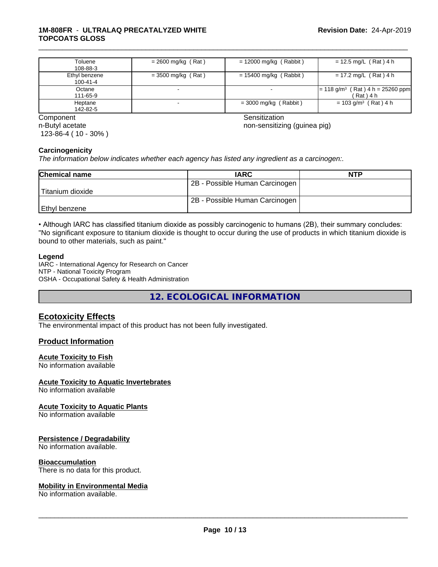#### **1M-808FR** - **ULTRALAQ PRECATALYZED WHITE TOPCOATS GLOSS**

| Toluene<br>108-88-3             | $= 2600$ mg/kg (Rat) | $= 12000$ mg/kg (Rabbit) | $= 12.5$ mg/L (Rat) 4 h                                    |
|---------------------------------|----------------------|--------------------------|------------------------------------------------------------|
| Ethyl benzene<br>$100 - 41 - 4$ | $=$ 3500 mg/kg (Rat) | $= 15400$ mg/kg (Rabbit) | $= 17.2$ mg/L (Rat) 4 h                                    |
| Octane<br>111-65-9              |                      |                          | $= 118$ g/m <sup>3</sup> (Rat) 4 h = 25260 ppm<br>(Rat)4 h |
| Heptane<br>142-82-5             |                      | $=$ 3000 mg/kg (Rabbit)  | $= 103$ g/m <sup>3</sup> (Rat) 4 h                         |

n-Butyl acetate 123-86-4 ( 10 - 30% )

**Component** Component Sensitization Component Sensitization Sensitization Sensitization

\_\_\_\_\_\_\_\_\_\_\_\_\_\_\_\_\_\_\_\_\_\_\_\_\_\_\_\_\_\_\_\_\_\_\_\_\_\_\_\_\_\_\_\_\_\_\_\_\_\_\_\_\_\_\_\_\_\_\_\_\_\_\_\_\_\_\_\_\_\_\_\_\_\_\_\_\_\_\_\_\_\_\_\_\_\_\_\_\_\_\_\_\_

non-sensitizing (guinea pig)

#### **Carcinogenicity**

*The information below indicateswhether each agency has listed any ingredient as a carcinogen:.*

| <b>Chemical name</b> | <b>IARC</b>                    | <b>NTP</b> |
|----------------------|--------------------------------|------------|
|                      | 2B - Possible Human Carcinogen |            |
| Titanium dioxide     |                                |            |
|                      | 2B - Possible Human Carcinogen |            |
| Ethyl benzene        |                                |            |

• Although IARC has classified titanium dioxide as possibly carcinogenic to humans (2B), their summary concludes: "No significant exposure to titanium dioxide is thought to occur during the use of products in which titanium dioxide is bound to other materials, such as paint."

#### **Legend**

IARC - International Agency for Research on Cancer NTP - National Toxicity Program OSHA - Occupational Safety & Health Administration

**12. ECOLOGICAL INFORMATION**

# **Ecotoxicity Effects**

The environmental impact of this product has not been fully investigated.

#### **Product Information**

#### **Acute Toxicity to Fish**

No information available

#### **Acute Toxicity to Aquatic Invertebrates**

No information available

#### **Acute Toxicity to Aquatic Plants**

No information available

#### **Persistence / Degradability**

No information available.

#### **Bioaccumulation**

There is no data for this product.

#### **Mobility in Environmental Media**

No information available.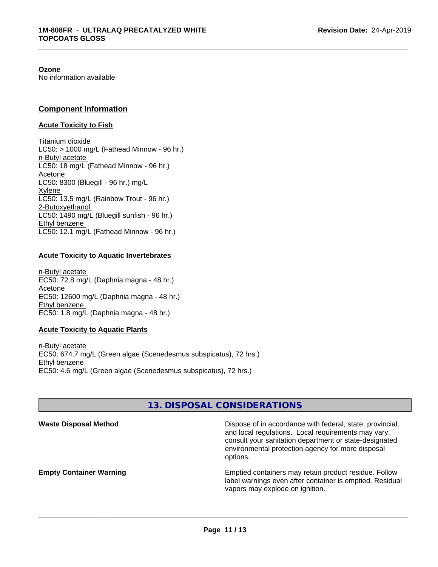#### **Ozone**

No information available

### **Component Information**

#### **Acute Toxicity to Fish**

Titanium dioxide  $LC50:$  > 1000 mg/L (Fathead Minnow - 96 hr.) n-Butyl acetate LC50: 18 mg/L (Fathead Minnow - 96 hr.) Acetone LC50: 8300 (Bluegill - 96 hr.) mg/L Xylene LC50: 13.5 mg/L (Rainbow Trout - 96 hr.) 2-Butoxyethanol LC50: 1490 mg/L (Bluegill sunfish - 96 hr.) Ethyl benzene LC50: 12.1 mg/L (Fathead Minnow - 96 hr.)

#### **Acute Toxicity to Aquatic Invertebrates**

n-Butyl acetate EC50: 72.8 mg/L (Daphnia magna - 48 hr.) Acetone EC50: 12600 mg/L (Daphnia magna - 48 hr.) Ethyl benzene EC50: 1.8 mg/L (Daphnia magna - 48 hr.)

#### **Acute Toxicity to Aquatic Plants**

n-Butyl acetate EC50: 674.7 mg/L (Green algae (Scenedesmus subspicatus), 72 hrs.) Ethyl benzene EC50: 4.6 mg/L (Green algae (Scenedesmus subspicatus), 72 hrs.)

# **13. DISPOSAL CONSIDERATIONS**

| <b>Waste Disposal Method</b>   | Dispose of in accordance with federal, state, provincial,<br>and local regulations. Local requirements may vary,<br>consult your sanitation department or state-designated<br>environmental protection agency for more disposal<br>options. |
|--------------------------------|---------------------------------------------------------------------------------------------------------------------------------------------------------------------------------------------------------------------------------------------|
| <b>Empty Container Warning</b> | Emptied containers may retain product residue. Follow<br>label warnings even after container is emptied. Residual<br>vapors may explode on ignition.                                                                                        |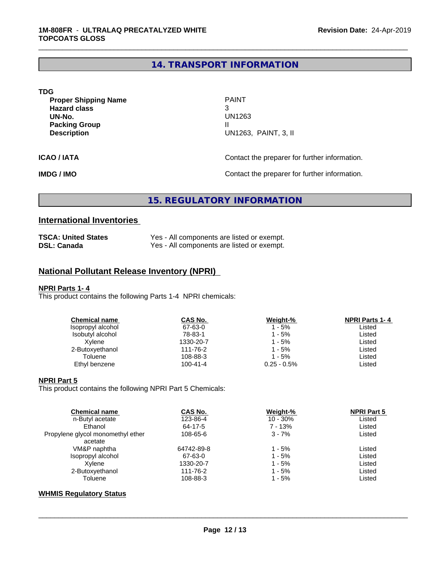# **14. TRANSPORT INFORMATION**

\_\_\_\_\_\_\_\_\_\_\_\_\_\_\_\_\_\_\_\_\_\_\_\_\_\_\_\_\_\_\_\_\_\_\_\_\_\_\_\_\_\_\_\_\_\_\_\_\_\_\_\_\_\_\_\_\_\_\_\_\_\_\_\_\_\_\_\_\_\_\_\_\_\_\_\_\_\_\_\_\_\_\_\_\_\_\_\_\_\_\_\_\_

| TDG                         |                                               |
|-----------------------------|-----------------------------------------------|
| <b>Proper Shipping Name</b> | <b>PAINT</b>                                  |
| <b>Hazard class</b>         | 3                                             |
| UN-No.                      | UN1263                                        |
| <b>Packing Group</b>        |                                               |
| <b>Description</b>          | UN1263, PAINT, 3, II                          |
| <b>ICAO / IATA</b>          | Contact the preparer for further information. |
|                             |                                               |

**IMDG / IMO Contact the preparer for further information.** 

# **15. REGULATORY INFORMATION**

# **International Inventories**

| <b>TSCA: United States</b> | Yes - All components are listed or exempt. |
|----------------------------|--------------------------------------------|
| <b>DSL: Canada</b>         | Yes - All components are listed or exempt. |

# **National Pollutant Release Inventory (NPRI)**

#### **NPRI Parts 1- 4**

This product contains the following Parts 1-4 NPRI chemicals:

| <b>Chemical name</b> | CAS No.        | Weight-%       | <b>NPRI Parts 1-4</b> |
|----------------------|----------------|----------------|-----------------------|
| Isopropyl alcohol    | 67-63-0        | 1 - 5%         | Listed                |
| Isobutyl alcohol     | 78-83-1        | 1 - 5%         | Listed                |
| Xvlene               | 1330-20-7      | 1 - 5%         | Listed                |
| 2-Butoxyethanol      | 111-76-2       | 1 - 5%         | Listed                |
| Toluene              | 108-88-3       | $1 - 5%$       | Listed                |
| Ethyl benzene        | $100 - 41 - 4$ | $0.25 - 0.5\%$ | Listed                |
|                      |                |                |                       |

#### **NPRI Part 5**

This product contains the following NPRI Part 5 Chemicals:

| <b>Chemical name</b>              | <b>CAS No.</b> | Weight-%   | <b>NPRI Part 5</b> |  |
|-----------------------------------|----------------|------------|--------------------|--|
| n-Butyl acetate                   | 123-86-4       | $10 - 30%$ | Listed             |  |
| Ethanol                           | 64-17-5        | 7 - 13%    | Listed             |  |
| Propylene glycol monomethyl ether | 108-65-6       | $3 - 7%$   | Listed             |  |
| acetate                           |                |            |                    |  |
| VM&P naphtha                      | 64742-89-8     | 1 - 5%     | Listed             |  |
| Isopropyl alcohol                 | 67-63-0        | $1 - 5%$   | Listed             |  |
| Xvlene                            | 1330-20-7      | $1 - 5%$   | Listed             |  |
| 2-Butoxyethanol                   | 111-76-2       | $1 - 5%$   | Listed             |  |
| Toluene                           | 108-88-3       | 1 - 5%     | Listed             |  |
|                                   |                |            |                    |  |

### **WHMIS Regulatory Status**